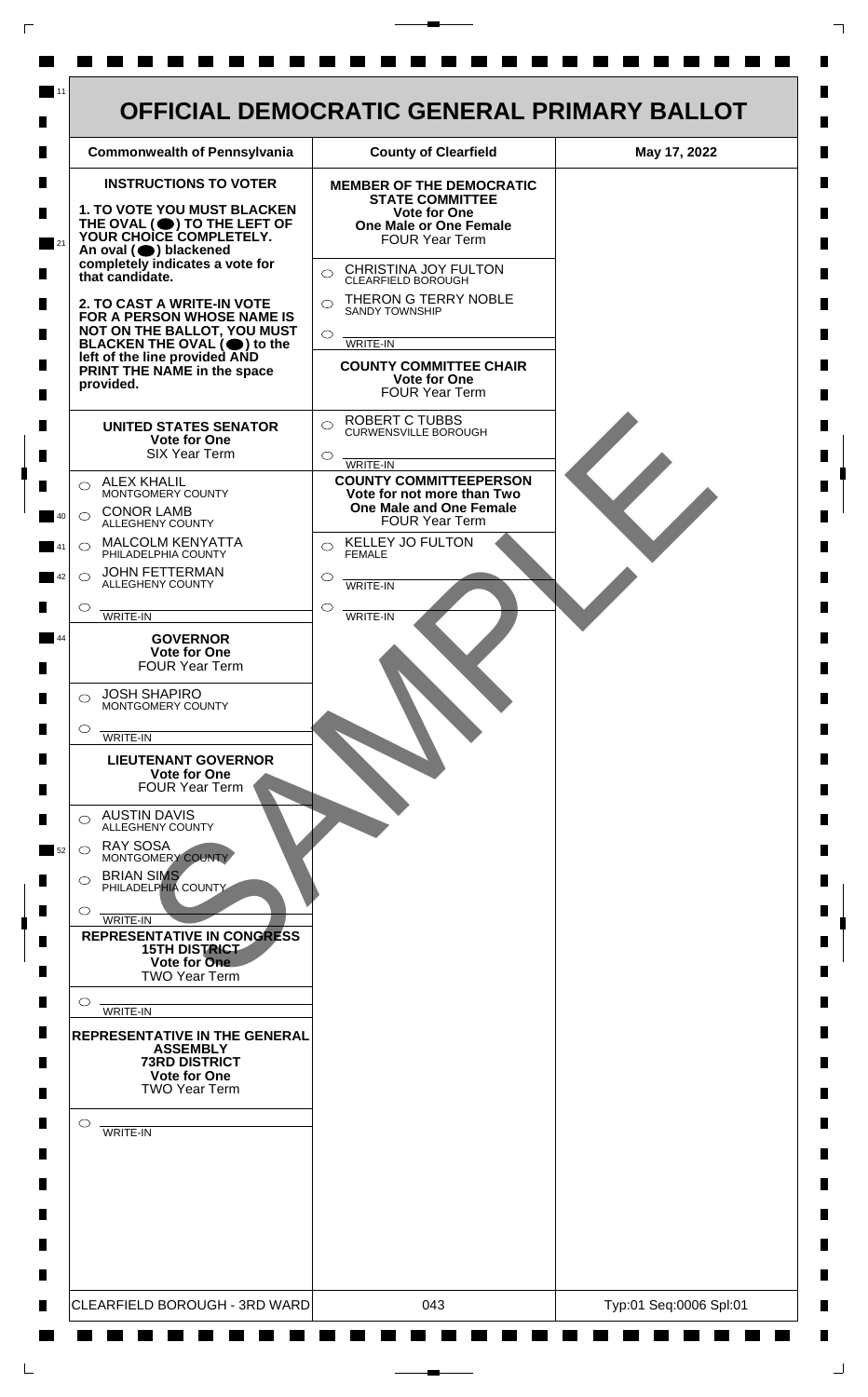

 $\mathsf{L}$